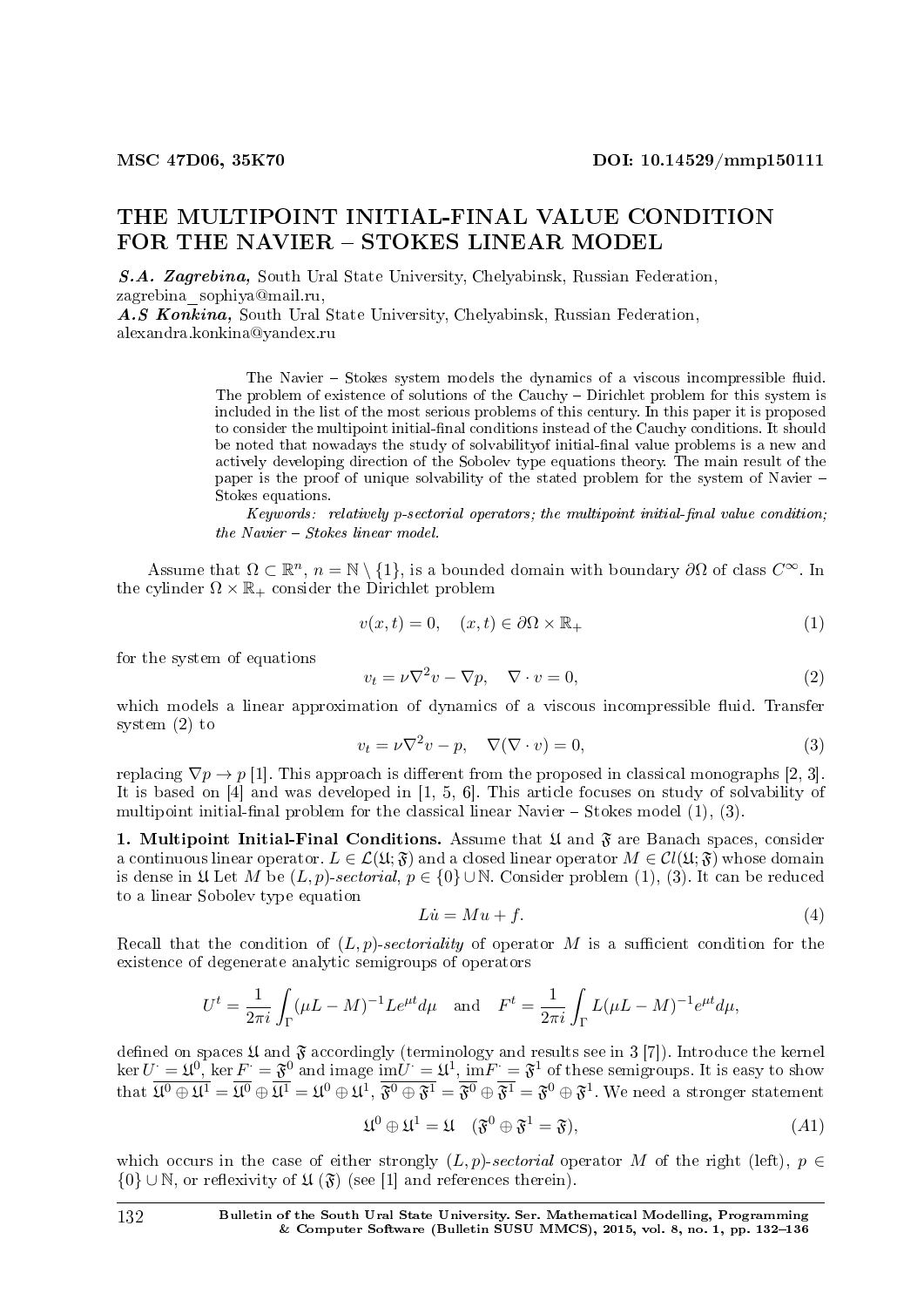## THE MULTIPOINT INITIAL-FINAL VALUE CONDITION FOR THE NAVIER - STOKES LINEAR MODEL

S.A. Zagrebina, South Ural State University, Chelyabinsk, Russian Federation, zagrebina\_sophiya@mail.ru,

A.S Konkina, South Ural State University, Chelyabinsk, Russian Federation, alexandra.konkina@yandex.ru

> The Navier – Stokes system models the dynamics of a viscous incompressible fluid. The problem of existence of solutions of the Cauchy – Dirichlet problem for this system is included in the list of the most serious problems of this century. In this paper it is proposed to consider the multipoint initial-nal conditions instead of the Cauchy conditions. It should be noted that nowadays the study of solvabilityof initial-nal value problems is a new and actively developing direction of the Sobolev type equations theory. The main result of the paper is the proof of unique solvability of the stated problem for the system of Navier Stokes equations.

> Keywords: relatively *p*-sectorial operators; the multipoint initial-final value condition;  $the\ Navier - Stokes\ linear\ model.$

Assume that  $\Omega \subset \mathbb{R}^n$ ,  $n = \mathbb{N} \setminus \{1\}$ , is a bounded domain with boundary  $\partial \Omega$  of class  $C^{\infty}$ . In the cylinder  $\Omega \times \mathbb{R}_+$  consider the Dirichlet problem

$$
v(x,t) = 0, \quad (x,t) \in \partial\Omega \times \mathbb{R}_+ \tag{1}
$$

for the system of equations

$$
v_t = \nu \nabla^2 v - \nabla p, \quad \nabla \cdot v = 0,
$$
\n<sup>(2)</sup>

which models a linear approximation of dynamics of a viscous incompressible fluid. Transfer system (2) to

$$
v_t = \nu \nabla^2 v - p, \quad \nabla(\nabla \cdot v) = 0,\tag{3}
$$

replacing  $\nabla p \rightarrow p$  [1]. This approach is different from the proposed in classical monographs [2, 3]. It is based on [4] and was developed in [1, 5, 6]. This article focuses on study of solvability of multipoint initial-final problem for the classical linear Navier  $-$  Stokes model  $(1), (3)$ .

1. Multipoint Initial-Final Conditions. Assume that  $\mathfrak U$  and  $\mathfrak F$  are Banach spaces, consider a continuous linear operator.  $L \in \mathcal{L}(\mathfrak{U}; \mathfrak{F})$  and a closed linear operator  $M \in \mathcal{C}l(\mathfrak{U}; \mathfrak{F})$  whose domain is dense in  $\mathfrak U$  Let *M* be  $(L, p)$ -sectorial,  $p \in \{0\} \cup \mathbb N$ . Consider problem  $(1), (3)$ . It can be reduced to a linear Sobolev type equation

$$
Li = Mu + f. \tag{4}
$$

Recall that the condition of  $(L, p)$ -sectoriality of operator M is a sufficient condition for the existence of degenerate analytic semigroups of operators

$$
U^{t} = \frac{1}{2\pi i} \int_{\Gamma} (\mu L - M)^{-1} L e^{\mu t} d\mu \text{ and } F^{t} = \frac{1}{2\pi i} \int_{\Gamma} L (\mu L - M)^{-1} e^{\mu t} d\mu,
$$

defined on spaces  $\mathfrak U$  and  $\mathfrak F$  accordingly (terminology and results see in 3 [7]). Introduce the kernel  $\ker U = \mathfrak{U}^0$ ,  $\ker F = \mathfrak{F}^0$  and image  $\mathrm{im}U = \mathfrak{U}^1$ ,  $\mathrm{im}F = \mathfrak{F}^1$  of these semigroups. It is easy to show  $\text{that} \ \overline{\mathfrak{U}^0\oplus \mathfrak{U}^1}=\overline{\mathfrak{U}^0}\oplus \overline{\mathfrak{U}^1}=\mathfrak{U}^0\oplus \mathfrak{U}^1,\ \overline{\mathfrak{F}^0\oplus \mathfrak{F}^1}=\overline{\mathfrak{F}^0}\oplus \overline{\mathfrak{F}^1}=\mathfrak{F}^0\oplus \mathfrak{F}^1.$  We need a stronger statement

$$
\mathfrak{U}^0 \oplus \mathfrak{U}^1 = \mathfrak{U} \quad (\mathfrak{F}^0 \oplus \mathfrak{F}^1 = \mathfrak{F}), \tag{A1}
$$

which occurs in the case of either strongly  $(L, p)$ -sectorial operator *M* of the right (left),  $p \in$  ${0}$  ∪N, or reflexivity of  $\mathfrak{U}(\mathfrak{F})$  (see [1] and references therein).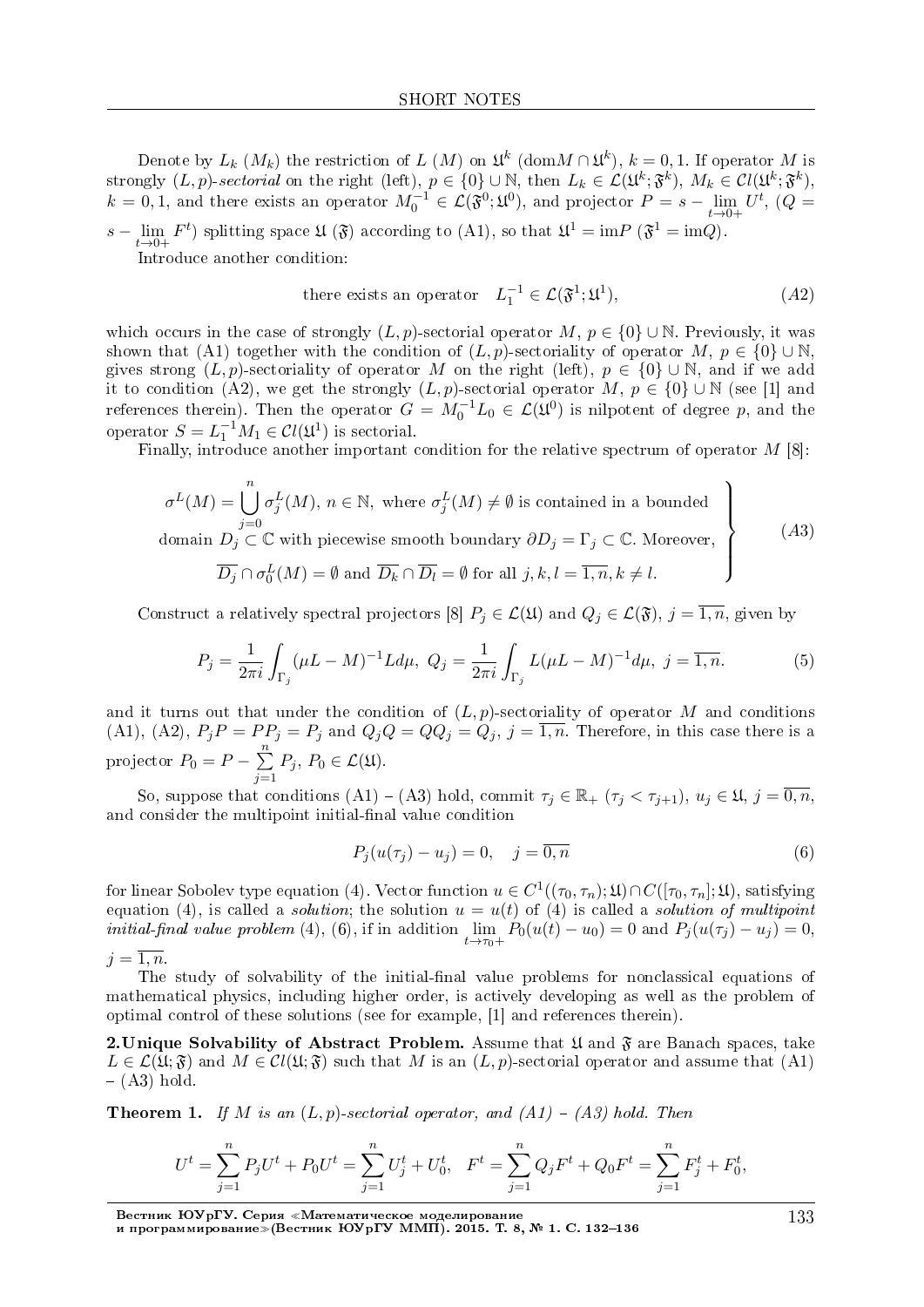Denote by  $L_k$  ( $M_k$ ) the restriction of  $L(M)$  on  $\mathfrak{U}^k$  (dom $M \cap \mathfrak{U}^k$ ),  $k = 0, 1$ . If operator  $M$  is strongly  $(L, p)$ -sectorial on the right (left),  $p \in \{0\} \cup \mathbb{N}$ , then  $L_k \in \mathcal{L}(\mathfrak{U}^k; \mathfrak{F}^k)$ ,  $M_k \in \mathcal{C}l(\mathfrak{U}^k; \mathfrak{F}^k)$ ,  $k = 0, 1$ , and there exists an operator  $M_0^{-1} \in \mathcal{L}(\mathfrak{F}^0; \mathfrak{U}^0)$ , and projector  $P = s - \lim_{t \to 0}$ *t→*0+  $U^t$ ,  $(Q =$ *s −* lim  $F^t$ ) splitting space  $\mathfrak{U}(\mathfrak{F})$  according to (A1), so that  $\mathfrak{U}^1 = \text{im} P(\mathfrak{F}^1 = \text{im} Q)$ .

*t→*0+ Introduce another condition:

there exists an operator 
$$
L_1^{-1} \in \mathcal{L}(\mathfrak{F}^1; \mathfrak{U}^1),
$$
 
$$
(A2)
$$

which occurs in the case of strongly  $(L, p)$ -sectorial operator  $M, p \in \{0\} \cup \mathbb{N}$ . Previously, it was shown that (A1) together with the condition of  $(L, p)$ -sectoriality of operator *M*,  $p \in \{0\} \cup \mathbb{N}$ . gives strong  $(L, p)$ -sectoriality of operator *M* on the right (left),  $p \in \{0\} \cup \mathbb{N}$ , and if we add it to condition (A2), we get the strongly  $(L, p)$ -sectorial operator  $M, p \in \{0\} \cup \mathbb{N}$  (see [1] and references therein). Then the operator  $G = M_0^{-1}L_0 \in \mathcal{L}(\mathfrak{U}^0)$  is nilpotent of degree p, and the operator  $S = L_1^{-1}M_1 \in \mathcal{C}l(\mathfrak{U}^1)$  is sectorial.

Finally, introduce another important condition for the relative spectrum of operator *M* [8]:

$$
\sigma^{L}(M) = \bigcup_{j=0}^{n} \sigma_{j}^{L}(M), n \in \mathbb{N}, \text{ where } \sigma_{j}^{L}(M) \neq \emptyset \text{ is contained in a bounded}
$$
  
domain  $D_{j} \subset \mathbb{C}$  with piecewise smooth boundary  $\partial D_{j} = \Gamma_{j} \subset \mathbb{C}$ . Moreover,  

$$
\overline{D_{j}} \cap \sigma_{0}^{L}(M) = \emptyset \text{ and } \overline{D_{k}} \cap \overline{D_{l}} = \emptyset \text{ for all } j, k, l = \overline{1, n}, k \neq l.
$$
 (A3)

Construct a relatively spectral projectors [8]  $P_j \in \mathcal{L}(\mathfrak{U})$  and  $Q_j \in \mathcal{L}(\mathfrak{F})$ ,  $j = \overline{1, n}$ , given by

$$
P_j = \frac{1}{2\pi i} \int_{\Gamma_j} (\mu L - M)^{-1} L d\mu, \ Q_j = \frac{1}{2\pi i} \int_{\Gamma_j} L(\mu L - M)^{-1} d\mu, \ j = \overline{1, n}.
$$
 (5)

and it turns out that under the condition of  $(L, p)$ -sectoriality of operator M and conditions (A1), (A2),  $P_j P = P P_j = P_j$  and  $Q_j Q = Q Q_j = Q_j$ ,  $j = \overline{1, n}$ . Therefore, in this case there is a projector  $P_0 = P - \sum_{i=1}^{n} P_i$ *j*=1  $P_j$ ,  $P_0 \in \mathcal{L}(\mathfrak{U})$ .

So, suppose that conditions  $(A1) - (A3)$  hold, commit  $\tau_j \in \mathbb{R}_+$   $(\tau_j < \tau_{j+1}), u_j \in \mathfrak{U}, j = \overline{0, n}$ , and consider the multipoint initial-final value condition

$$
P_j(u(\tau_j) - u_j) = 0, \quad j = \overline{0, n}
$$
\n
$$
(6)
$$

 $f$  for linear Sobolev type equation (4). Vector function  $u\in C^1((\tau_0,\tau_n);\mathfrak{U})\cap C([\tau_0,\tau_n];\mathfrak{U}),$  satisfying equation (4), is called a *solution*; the solution  $u = u(t)$  of (4) is called a *solution of multipoint initial-final value problem*  $(4)$ ,  $(6)$ , if in addition lim  $\lim_{t \to \tau_0+} P_0(u(t) - u_0) = 0$  and  $P_j(u(\tau_j) - u_j) = 0$ ,  $i = \overline{1, n}$ .

The study of solvability of the initial-final value problems for nonclassical equations of mathematical physics, including higher order, is actively developing as well as the problem of optimal control of these solutions (see for example, [1] and references therein).

2. Unique Solvability of Abstract Problem. Assume that  $\mathfrak U$  and  $\mathfrak F$  are Banach spaces, take  $L \in \mathcal{L}(\mathfrak{U}; \mathfrak{F})$  and  $M \in \mathcal{C}l(\mathfrak{U}; \mathfrak{F})$  such that *M* is an  $(L, p)$ -sectorial operator and assume that  $(A1)$  $- (A3)$  hold.

**Theorem 1.** If *M* is an  $(L, p)$ -sectorial operator, and  $(A1) - (A3)$  hold. Then

$$
U^t = \sum_{j=1}^n P_j U^t + P_0 U^t = \sum_{j=1}^n U_j^t + U_0^t, \quad F^t = \sum_{j=1}^n Q_j F^t + Q_0 F^t = \sum_{j=1}^n F_j^t + F_0^t,
$$

Вестник ЮУрГУ. Серия «Математическое моделирование и программирование≫(Вестник ЮУрГУ ММП). 2015. Т. 8, № 1. C. 132–136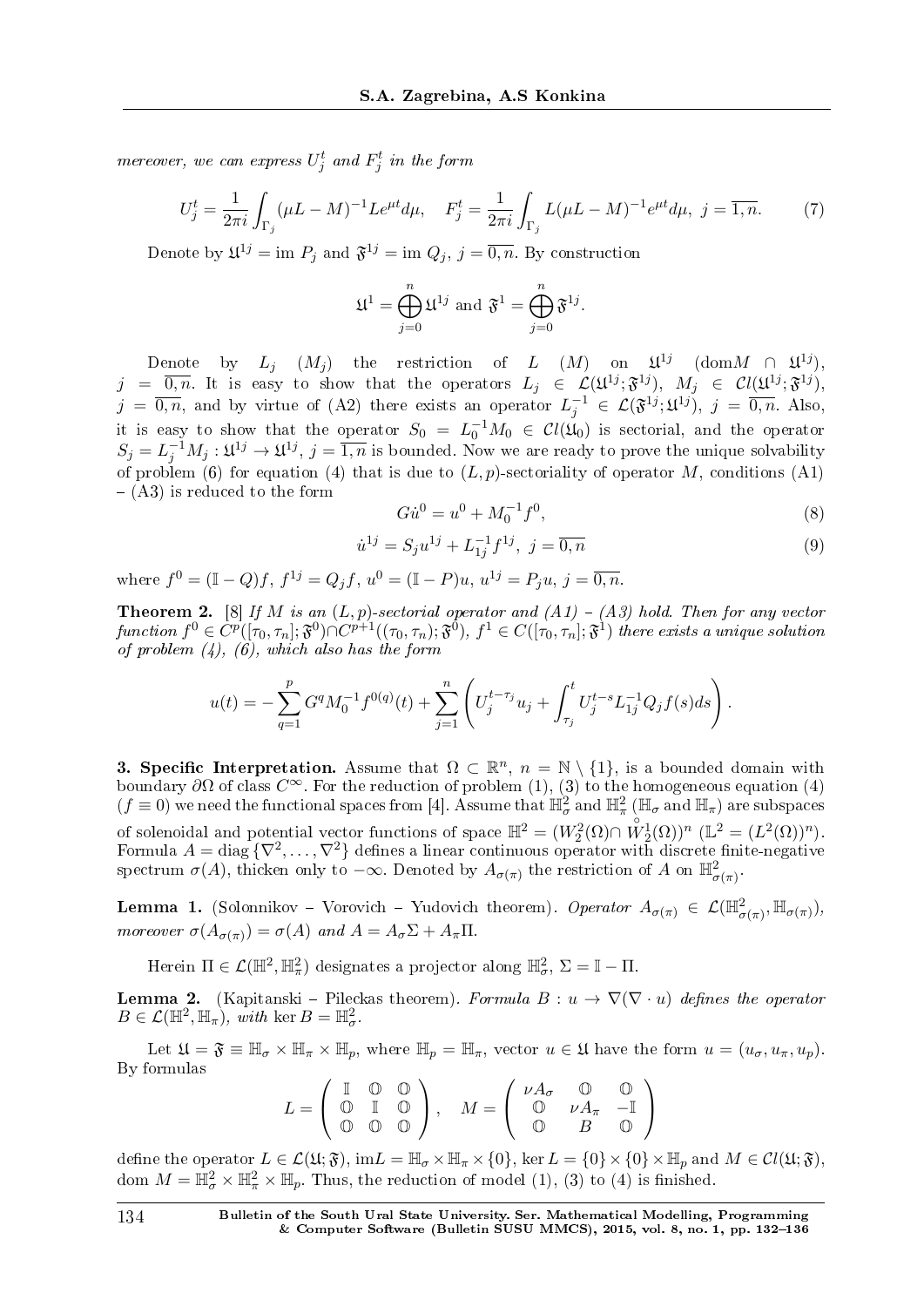mereover, we can express  $U_j^t$  and  $F_j^t$  in the form

$$
U_j^t = \frac{1}{2\pi i} \int_{\Gamma_j} (\mu L - M)^{-1} L e^{\mu t} d\mu, \quad F_j^t = \frac{1}{2\pi i} \int_{\Gamma_j} L (\mu L - M)^{-1} e^{\mu t} d\mu, \ j = \overline{1, n}.
$$
 (7)

Denote by  $\mathfrak{U}^{1j} = \text{im } P_j$  and  $\mathfrak{F}^{1j} = \text{im } Q_j$ ,  $j = \overline{0, n}$ . By construction

$$
\mathfrak{U}^1 = \bigoplus_{j=0}^n \mathfrak{U}^{1j} \text{ and } \mathfrak{F}^1 = \bigoplus_{j=0}^n \mathfrak{F}^{1j}.
$$

Denote by  $L_j$   $(M_j)$  the restriction of *L*  $(M)$  on  $\mathfrak{U}^{1j}$  (dom $M \cap \mathfrak{U}^{1j}$ ),  $j = \overline{0,n}$ . It is easy to show that the operators  $L_j \in \mathcal{L}(\mathfrak{U}^{1j}; \mathfrak{F}^{1j})$ ,  $M_j \in \mathcal{C}l(\mathfrak{U}^{1j}; \mathfrak{F}^{1j})$ ,  $j = \overline{0,n}$ , and by virtue of (A2) there exists an operator  $L_j^{-1} \in \mathcal{L}(\mathfrak{F}^{1j};\mathfrak{U}^{1j}), j = \overline{0,n}$ . Also, it is easy to show that the operator  $S_0 = L_0^{-1}M_0 \in Cl(\mathfrak{U}_0)$  is sectorial, and the operator  $S_j = L_j^{-1}M_j : \mathfrak{U}^{1j} \to \mathfrak{U}^{1j}, j = \overline{1,n}$  is bounded. Now we are ready to prove the unique solvability of problem (6) for equation (4) that is due to  $(L, p)$ -sectoriality of operator *M*, conditions (A1)  $-$  (A3) is reduced to the form

$$
G\dot{u}^0 = u^0 + M_0^{-1}f^0,\tag{8}
$$

$$
\dot{u}^{1j} = S_j u^{1j} + L_{1j}^{-1} f^{1j}, \ j = \overline{0, n} \tag{9}
$$

where  $f^{0} = (\mathbb{I} - Q)f$ ,  $f^{1j} = Q_j f$ ,  $u^{0} = (\mathbb{I} - P)u$ ,  $u^{1j} = P_j u$ ,  $j = \overline{0, n}$ .

**Theorem 2.** [8] If *M* is an  $(L, p)$ -sectorial operator and  $(A1) - (A3)$  hold. Then for any vector function  $f^0\in C^p([\tau_0,\tau_n];\mathfrak{F}^0)\cap C^{p+1}((\tau_0,\tau_n);\mathfrak{F}^{\bar{0}}),$   $f^1\in C([\tau_0,\tau_n];\mathfrak{F}^1)$  there exists a unique solution of problem  $(4)$ ,  $(6)$ , which also has the form

$$
u(t) = -\sum_{q=1}^p G^q M_0^{-1} f^{0(q)}(t) + \sum_{j=1}^n \left( U_j^{t-\tau_j} u_j + \int_{\tau_j}^t U_j^{t-s} L_{1j}^{-1} Q_j f(s) ds \right).
$$

**3. Specific Interpretation.** Assume that  $\Omega \subset \mathbb{R}^n$ ,  $n = \mathbb{N} \setminus \{1\}$ , is a bounded domain with boundary  $\partial\Omega$  of class  $C^{\infty}$ . For the reduction of problem (1), (3) to the homogeneous equation (4)  $(f \equiv 0)$  we need the functional spaces from [4]. Assume that  $\mathbb{H}^2_\sigma$  and  $\mathbb{H}^2_\pi$  ( $\mathbb{H}_\sigma$  and  $\mathbb{H}_\pi$ ) are subspaces of solenoidal and potential vector functions of space  $\mathbb{H}^2 = (W_2^2(\Omega) \cap \overset{\circ}{W}_2^1(\Omega))^n$   $(\mathbb{L}^2 = (L^2(\Omega))^n)$ . Formula  $A = \text{diag} \{ \nabla^2, \ldots, \nabla^2 \}$  defines a linear continuous operator with discrete finite-negative spectrum  $\sigma(A)$ , thicken only to  $-\infty$ . Denoted by  $A_{\sigma(\pi)}$  the restriction of *A* on  $\mathbb{H}^2_{\sigma(\pi)}$ .

**Lemma 1.** (Solonnikov – Vorovich – Yudovich theorem). Operator  $A_{\sigma(\pi)} \in \mathcal{L}(\mathbb{H}^2_{\sigma(\pi)}, \mathbb{H}_{\sigma(\pi)})$ , *moreover*  $\sigma(A_{\sigma(\pi)}) = \sigma(A)$  and  $A = A_{\sigma} \Sigma + A_{\pi} \Pi$ .

Herein  $\Pi \in \mathcal{L}(\mathbb{H}^2, \mathbb{H}^2_\pi)$  designates a projector along  $\mathbb{H}^2_\sigma$ ,  $\Sigma = \mathbb{I} - \Pi$ .

**Lemma 2.** (Kapitanski – Pileckas theorem). Formula  $B: u \to \nabla(\nabla \cdot u)$  defines the operator  $B \in \mathcal{L}(\mathbb{H}^2, \mathbb{H}_\pi)$ , with ker  $B = \mathbb{H}^2_\sigma$ .

Let  $\mathfrak{U} = \mathfrak{F} \equiv \mathbb{H}_{\sigma} \times \mathbb{H}_{\pi} \times \mathbb{H}_{p}$ , where  $\mathbb{H}_{p} = \mathbb{H}_{\pi}$ , vector  $u \in \mathfrak{U}$  have the form  $u = (u_{\sigma}, u_{\pi}, u_{p})$ . By formulas

$$
L = \left(\begin{array}{ccc} \mathbb{I} & \mathbb{O} & \mathbb{O} \\ \mathbb{O} & \mathbb{I} & \mathbb{O} \\ \mathbb{O} & \mathbb{O} & \mathbb{O} \end{array}\right), \quad M = \left(\begin{array}{ccc} \nu A_{\sigma} & \mathbb{O} & \mathbb{O} \\ \mathbb{O} & \nu A_{\pi} & -\mathbb{I} \\ \mathbb{O} & B & \mathbb{O} \end{array}\right)
$$

define the operator  $L \in \mathcal{L}(\mathfrak{U}; \mathfrak{F}), \text{im} L = \mathbb{H}_{\sigma} \times \mathbb{H}_{\pi} \times \{0\}, \text{ker } L = \{0\} \times \{0\} \times \mathbb{H}_{p} \text{ and } M \in \mathcal{C}l(\mathfrak{U}; \mathfrak{F}),$ dom  $M = \mathbb{H}^2_{\sigma} \times \mathbb{H}^2_{\pi} \times \mathbb{H}_p$ . Thus, the reduction of model (1), (3) to (4) is finished.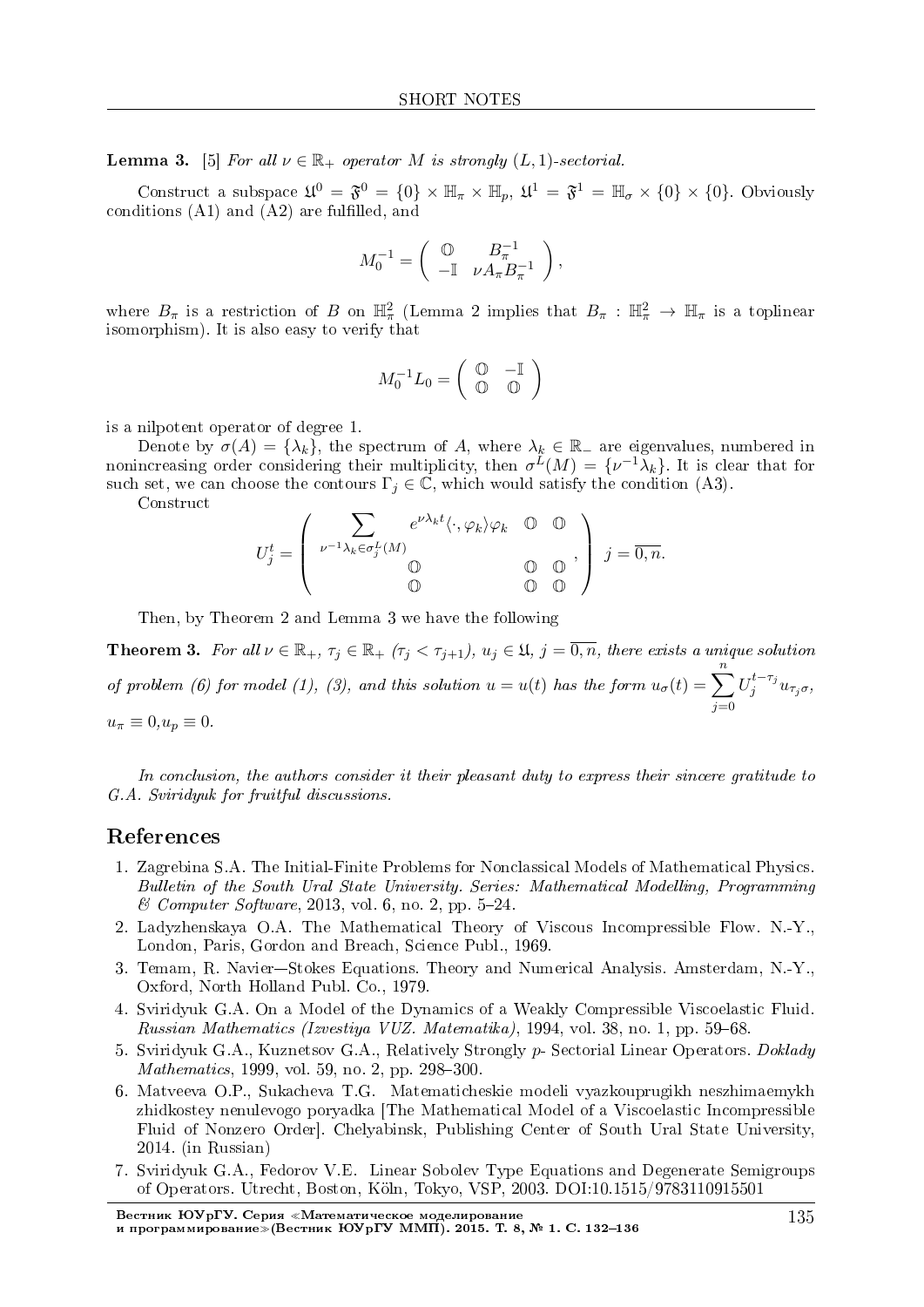**Lemma 3.** [5] For all  $\nu \in \mathbb{R}_+$  operator *M* is strongly  $(L, 1)$ -sectorial.

Construct a subspace  $\mathfrak{U}^0 = \mathfrak{F}^0 = \{0\} \times \mathbb{H}_{\pi} \times \mathbb{H}_p$ ,  $\mathfrak{U}^1 = \mathfrak{F}^1 = \mathbb{H}_{\sigma} \times \{0\} \times \{0\}$ . Obviously conditions  $(A1)$  and  $(A2)$  are fulfilled, and

$$
M_0^{-1} = \left( \begin{array}{cc} \mathbb{O} & B_\pi^{-1} \\ -\mathbb{I} & \nu A_\pi B_\pi^{-1} \end{array} \right),
$$

where  $B_{\pi}$  is a restriction of *B* on  $\mathbb{H}^2_{\pi}$  (Lemma 2 implies that  $B_{\pi}$  :  $\mathbb{H}^2_{\pi} \to \mathbb{H}_{\pi}$  is a toplinear isomorphism). It is also easy to verify that

$$
M_0^{-1}L_0 = \left(\begin{array}{cc} \mathbb{O} & -\mathbb{I} \\ \mathbb{O} & \mathbb{O} \end{array}\right)
$$

is a nilpotent operator of degree 1.

Denote by  $\sigma(A) = {\lambda_k}$ , the spectrum of *A*, where  $\lambda_k \in \mathbb{R}$  are eigenvalues, numbered in nonincreasing order considering their multiplicity, then  $\sigma^L(M) = \{ \nu^{-1} \lambda_k \}$ . It is clear that for such set, we can choose the contours  $\Gamma_j \in \mathbb{C}$ , which would satisfy the condition (A3).

Construct

$$
U_j^t = \begin{pmatrix} \sum_{\nu^{-1}\lambda_k \in \sigma_j^L(M)} e^{\nu \lambda_k t} \langle \cdot, \varphi_k \rangle \varphi_k & 0 & 0 \\ 0 & 0 & 0 \\ 0 & 0 & 0 \end{pmatrix} j = \overline{0, n}.
$$

Then, by Theorem 2 and Lemma 3 we have the following

**Theorem 3.** For all  $\nu \in \mathbb{R}_+$ ,  $\tau_j \in \mathbb{R}_+$   $(\tau_j < \tau_{j+1})$ ,  $u_j \in \mathfrak{U}$ ,  $j = \overline{0, n}$ , there exists a unique solution of problem (6) for model (1), (3), and this solution  $u = u(t)$  has the form  $u_{\sigma}(t) = \sum_{i=1}^{n}$ *j*=0  $U_j^{t-\tau_j}u_{\tau_j\sigma}$  $u_{\pi} \equiv 0, u_p \equiv 0.$ 

In conclusion, the authors consider it their pleasant duty to express their sincere gratitude to G.A. Sviridyuk for fruitful discussions.

#### References

- 1. Zagrebina S.A. The Initial-Finite Problems for Nonclassical Models of Mathematical Physics. Bulletin of the South Ural State University. Series: Mathematical Modelling, Programming  $& Computer Software, 2013, vol. 6, no. 2, pp. 5-24.$
- 2. Ladyzhenskaya O.A. The Mathematical Theory of Viscous Incompressible Flow. N.-Y., London, Paris, Gordon and Breach, Science Publ., 1969.
- 3. Temam, R. Navier-Stokes Equations. Theory and Numerical Analysis. Amsterdam, N.-Y., Oxford, North Holland Publ. Co., 1979.
- 4. Sviridyuk G.A. On a Model of the Dynamics of a Weakly Compressible Viscoelastic Fluid. Russian Mathematics (Izvestiya VUZ. Matematika), 1994, vol. 38, no. 1, pp. 59–68.
- 5. Sviridyuk G.A., Kuznetsov G.A., Relatively Strongly *p* Sectorial Linear Operators. Doklady  $Mathematics, 1999, vol. 59, no. 2, pp. 298-300.$
- 6. Matveeva O.P., Sukacheva T.G. Matematicheskie modeli vyazkouprugikh neszhimaemykh zhidkostey nenulevogo poryadka [The Mathematical Model of a Viscoelastic Incompressible Fluid of Nonzero Order]. Chelyabinsk, Publishing Center of South Ural State University, 2014. (in Russian)
- 7. Sviridyuk G.A., Fedorov V.E. Linear Sobolev Type Equations and Degenerate Semigroups of Operators. Utrecht, Boston, K¨oln, Tokyo, VSP, 2003. DOI:10.1515/9783110915501